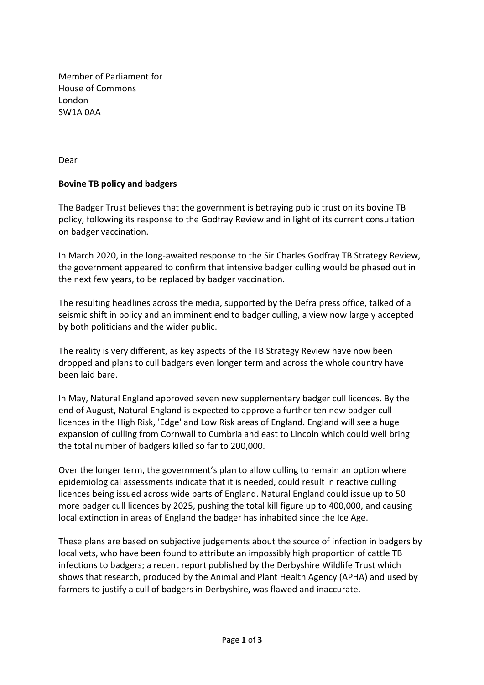Member of Parliament for House of Commons London SW1A 0AA

Dear

## **Bovine TB policy and badgers**

The Badger Trust believes that the government is betraying public trust on its bovine TB policy, following its response to the Godfray Review and in light of its current consultation on badger vaccination.

In March 2020, in the long-awaited response to the Sir Charles Godfray TB Strategy Review, the government appeared to confirm that intensive badger culling would be phased out in the next few years, to be replaced by badger vaccination.

The resulting headlines across the media, supported by the Defra press office, talked of a seismic shift in policy and an imminent end to badger culling, a view now largely accepted by both politicians and the wider public.

The reality is very different, as key aspects of the TB Strategy Review have now been dropped and plans to cull badgers even longer term and across the whole country have been laid bare.

In May, Natural England approved seven new supplementary badger cull licences. By the end of August, Natural England is expected to approve a further ten new badger cull licences in the High Risk, 'Edge' and Low Risk areas of England. England will see a huge expansion of culling from Cornwall to Cumbria and east to Lincoln which could well bring the total number of badgers killed so far to 200,000.

Over the longer term, the government's plan to allow culling to remain an option where epidemiological assessments indicate that it is needed, could result in reactive culling licences being issued across wide parts of England. Natural England could issue up to 50 more badger cull licences by 2025, pushing the total kill figure up to 400,000, and causing local extinction in areas of England the badger has inhabited since the Ice Age.

These plans are based on subjective judgements about the source of infection in badgers by local vets, who have been found to attribute an impossibly high proportion of cattle TB infections to badgers; a recent report published by the Derbyshire Wildlife Trust which shows that research, produced by the Animal and Plant Health Agency (APHA) and used by farmers to justify a cull of badgers in Derbyshire, was flawed and inaccurate.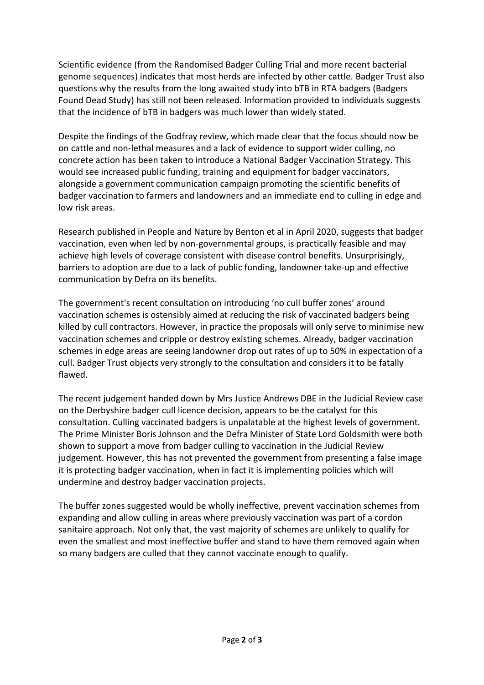Scientific evidence (from the Randomised Badger Culling Trial and more recent bacterial genome sequences) indicates that most herds are infected by other cattle. Badger Trust also questions why the results from the long awaited study into bTB in RTA badgers (Badgers Found Dead Study) has still not been released. Information provided to individuals suggests that the incidence of bTB in badgers was much lower than widely stated.

Despite the findings of the Godfray review, which made clear that the focus should now be on cattle and non-lethal measures and a lack of evidence to support wider culling, no concrete action has been taken to introduce a National Badger Vaccination Strategy. This would see increased public funding, training and equipment for badger vaccinators, alongside a government communication campaign promoting the scientific benefits of badger vaccination to farmers and landowners and an immediate end to culling in edge and low risk areas.

Research published in People and Nature by Benton et al in April 2020, suggests that badger vaccination, even when led by non-governmental groups, is practically feasible and may achieve high levels of coverage consistent with disease control benefits. Unsurprisingly, barriers to adoption are due to a lack of public funding, landowner take-up and effective communication by Defra on its benefits.

The government's recent consultation on introducing 'no cull buffer zones' around vaccination schemes is ostensibly aimed at reducing the risk of vaccinated badgers being killed by cull contractors. However, in practice the proposals will only serve to minimise new vaccination schemes and cripple or destroy existing schemes. Already, badger vaccination schemes in edge areas are seeing landowner drop out rates of up to 50% in expectation of a cull. Badger Trust objects very strongly to the consultation and considers it to be fatally flawed.

The recent judgement handed down by Mrs Justice Andrews DBE in the Judicial Review case on the Derbyshire badger cull licence decision, appears to be the catalyst for this consultation. Culling vaccinated badgers is unpalatable at the highest levels of government. The Prime Minister Boris Johnson and the Defra Minister of State Lord Goldsmith were both shown to support a move from badger culling to vaccination in the Judicial Review judgement. However, this has not prevented the government from presenting a false image it is protecting badger vaccination, when in fact it is implementing policies which will undermine and destroy badger vaccination projects.

The buffer zones suggested would be wholly ineffective, prevent vaccination schemes from expanding and allow culling in areas where previously vaccination was part of a cordon sanitaire approach. Not only that, the vast majority of schemes are unlikely to qualify for even the smallest and most ineffective buffer and stand to have them removed again when so many badgers are culled that they cannot vaccinate enough to qualify.